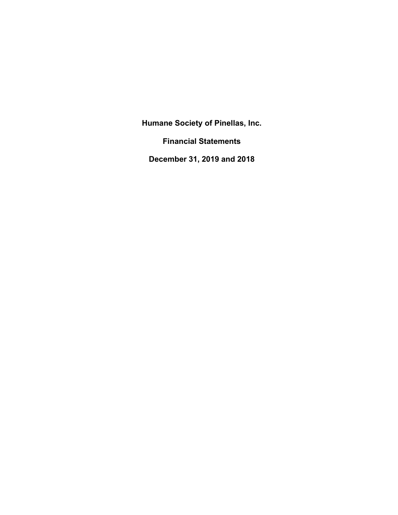**Financial Statements**

**December 31, 2019 and 2018**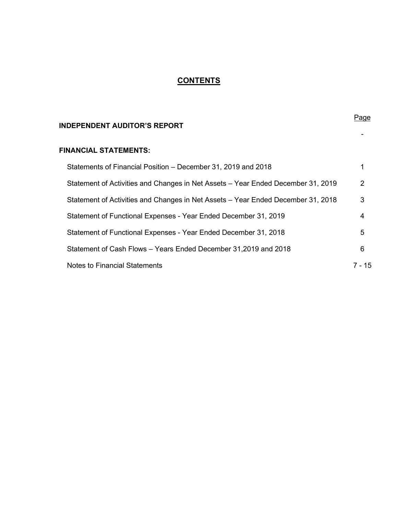# **CONTENTS**

| <b>INDEPENDENT AUDITOR'S REPORT</b>                                              | Page           |
|----------------------------------------------------------------------------------|----------------|
|                                                                                  |                |
| <b>FINANCIAL STATEMENTS:</b>                                                     |                |
| Statements of Financial Position – December 31, 2019 and 2018                    |                |
| Statement of Activities and Changes in Net Assets – Year Ended December 31, 2019 | $\overline{2}$ |
| Statement of Activities and Changes in Net Assets – Year Ended December 31, 2018 | 3              |
| Statement of Functional Expenses - Year Ended December 31, 2019                  | 4              |
| Statement of Functional Expenses - Year Ended December 31, 2018                  | 5              |
| Statement of Cash Flows - Years Ended December 31, 2019 and 2018                 | 6              |
| Notes to Financial Statements                                                    | 7 - 15         |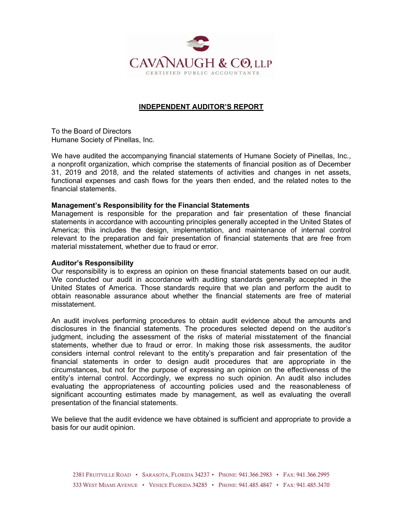

# **INDEPENDENT AUDITOR'S REPORT**

To the Board of Directors Humane Society of Pinellas, Inc.

We have audited the accompanying financial statements of Humane Society of Pinellas, Inc., a nonprofit organization, which comprise the statements of financial position as of December 31, 2019 and 2018, and the related statements of activities and changes in net assets, functional expenses and cash flows for the years then ended, and the related notes to the financial statements.

#### **Management's Responsibility for the Financial Statements**

Management is responsible for the preparation and fair presentation of these financial statements in accordance with accounting principles generally accepted in the United States of America; this includes the design, implementation, and maintenance of internal control relevant to the preparation and fair presentation of financial statements that are free from material misstatement, whether due to fraud or error.

#### **Auditor's Responsibility**

Our responsibility is to express an opinion on these financial statements based on our audit. We conducted our audit in accordance with auditing standards generally accepted in the United States of America. Those standards require that we plan and perform the audit to obtain reasonable assurance about whether the financial statements are free of material misstatement.

An audit involves performing procedures to obtain audit evidence about the amounts and disclosures in the financial statements. The procedures selected depend on the auditor's judgment, including the assessment of the risks of material misstatement of the financial statements, whether due to fraud or error. In making those risk assessments, the auditor considers internal control relevant to the entity's preparation and fair presentation of the financial statements in order to design audit procedures that are appropriate in the circumstances, but not for the purpose of expressing an opinion on the effectiveness of the entity's internal control. Accordingly, we express no such opinion. An audit also includes evaluating the appropriateness of accounting policies used and the reasonableness of significant accounting estimates made by management, as well as evaluating the overall presentation of the financial statements.

We believe that the audit evidence we have obtained is sufficient and appropriate to provide a basis for our audit opinion.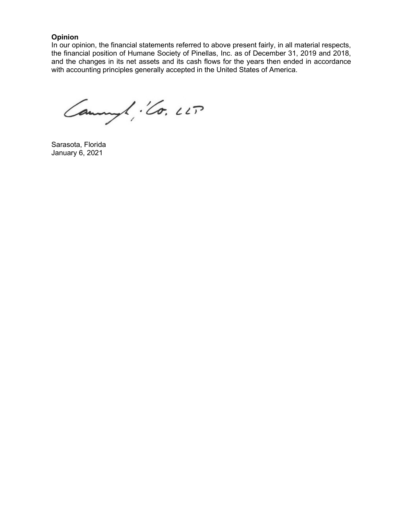## **Opinion**

In our opinion, the financial statements referred to above present fairly, in all material respects, the financial position of Humane Society of Pinellas, Inc. as of December 31, 2019 and 2018, and the changes in its net assets and its cash flows for the years then ended in accordance with accounting principles generally accepted in the United States of America.

Cannyl; 'Co, LLP

Sarasota, Florida January 6, 2021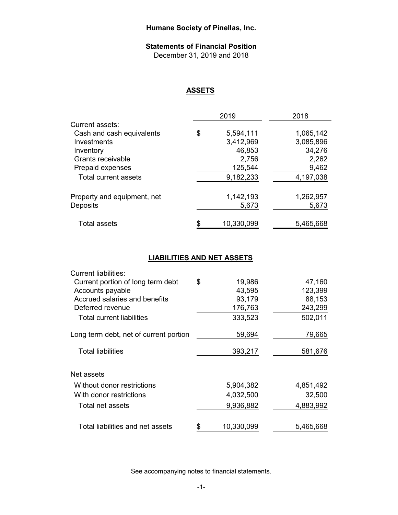# **Statements of Financial Position**

December 31, 2019 and 2018

# **ASSETS**

|                             | 2019             | 2018      |
|-----------------------------|------------------|-----------|
| Current assets:             |                  |           |
| Cash and cash equivalents   | \$<br>5,594,111  | 1,065,142 |
| Investments                 | 3,412,969        | 3,085,896 |
| Inventory                   | 46,853           | 34,276    |
| Grants receivable           | 2,756            | 2,262     |
| Prepaid expenses            | 125,544          | 9,462     |
| <b>Total current assets</b> | 9,182,233        | 4,197,038 |
| Property and equipment, net | 1,142,193        | 1,262,957 |
| Deposits                    | 5,673            | 5,673     |
| <b>Total assets</b>         | \$<br>10,330,099 | 5,465,668 |

# **LIABILITIES AND NET ASSETS**

| <b>Current liabilities:</b>            |                  |           |
|----------------------------------------|------------------|-----------|
| Current portion of long term debt      | \$<br>19,986     | 47,160    |
| Accounts payable                       | 43,595           | 123,399   |
| Accrued salaries and benefits          | 93,179           | 88,153    |
| Deferred revenue                       | 176,763          | 243,299   |
| <b>Total current liabilities</b>       | 333,523          | 502,011   |
| Long term debt, net of current portion | 59,694           | 79,665    |
| Total liabilities                      | 393,217          | 581,676   |
| Net assets                             |                  |           |
| Without donor restrictions             | 5,904,382        | 4,851,492 |
| With donor restrictions                | 4,032,500        | 32,500    |
| Total net assets                       | 9,936,882        | 4,883,992 |
| Total liabilities and net assets       | \$<br>10,330,099 | 5,465,668 |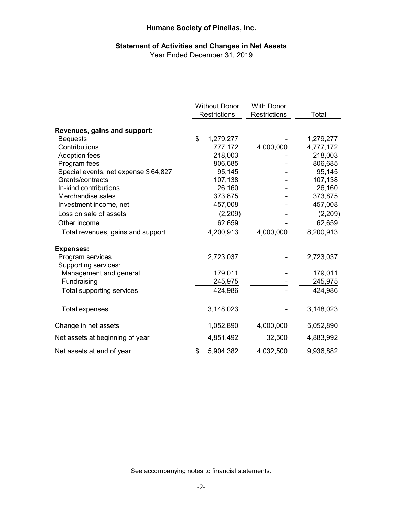# **Statement of Activities and Changes in Net Assets**

Year Ended December 31, 2019

|                                      | <b>Without Donor</b><br><b>Restrictions</b> |           | <b>With Donor</b><br><b>Restrictions</b> | Total     |  |
|--------------------------------------|---------------------------------------------|-----------|------------------------------------------|-----------|--|
| Revenues, gains and support:         |                                             |           |                                          |           |  |
| <b>Bequests</b>                      | \$                                          | 1,279,277 |                                          | 1,279,277 |  |
| Contributions                        |                                             | 777,172   | 4,000,000                                | 4,777,172 |  |
| Adoption fees                        |                                             | 218,003   |                                          | 218,003   |  |
| Program fees                         |                                             | 806,685   |                                          | 806,685   |  |
| Special events, net expense \$64,827 |                                             | 95,145    |                                          | 95,145    |  |
| Grants/contracts                     |                                             | 107,138   |                                          | 107,138   |  |
| In-kind contributions                |                                             | 26,160    |                                          | 26,160    |  |
| Merchandise sales                    |                                             | 373,875   |                                          | 373,875   |  |
| Investment income, net               |                                             | 457,008   |                                          | 457,008   |  |
| Loss on sale of assets               |                                             | (2,209)   |                                          | (2,209)   |  |
| Other income                         |                                             | 62,659    |                                          | 62,659    |  |
| Total revenues, gains and support    |                                             | 4,200,913 | 4,000,000                                | 8,200,913 |  |
| <b>Expenses:</b>                     |                                             |           |                                          |           |  |
| Program services                     |                                             | 2,723,037 |                                          | 2,723,037 |  |
| Supporting services:                 |                                             |           |                                          |           |  |
| Management and general               |                                             | 179,011   |                                          | 179,011   |  |
| Fundraising                          |                                             | 245,975   |                                          | 245,975   |  |
| Total supporting services            |                                             | 424,986   |                                          | 424,986   |  |
| Total expenses                       |                                             | 3,148,023 |                                          | 3,148,023 |  |
| Change in net assets                 |                                             | 1,052,890 | 4,000,000                                | 5,052,890 |  |
| Net assets at beginning of year      |                                             | 4,851,492 | 32,500                                   | 4,883,992 |  |
| Net assets at end of year            | \$                                          | 5,904,382 | 4,032,500                                | 9,936,882 |  |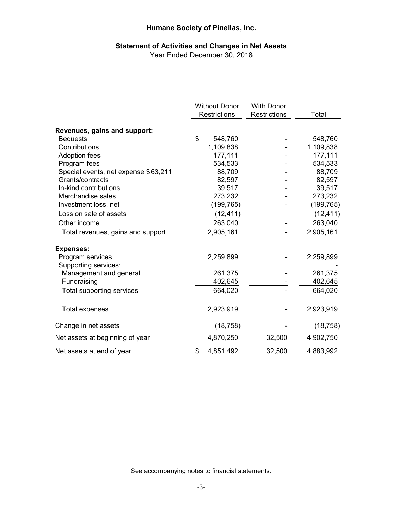# **Statement of Activities and Changes in Net Assets**

Year Ended December 30, 2018

|                                      | <b>Without Donor</b> |            | <b>With Donor</b> |            |  |
|--------------------------------------|----------------------|------------|-------------------|------------|--|
|                                      | <b>Restrictions</b>  |            | Restrictions      | Total      |  |
| Revenues, gains and support:         |                      |            |                   |            |  |
| <b>Bequests</b>                      | \$                   | 548,760    |                   | 548,760    |  |
| Contributions                        |                      | 1,109,838  |                   | 1,109,838  |  |
| <b>Adoption fees</b>                 |                      | 177,111    |                   | 177,111    |  |
| Program fees                         |                      | 534,533    |                   | 534,533    |  |
| Special events, net expense \$63,211 |                      | 88,709     |                   | 88,709     |  |
| Grants/contracts                     |                      | 82,597     |                   | 82,597     |  |
| In-kind contributions                |                      | 39,517     |                   | 39,517     |  |
| Merchandise sales                    |                      | 273,232    |                   | 273,232    |  |
| Investment loss, net                 |                      | (199, 765) |                   | (199, 765) |  |
| Loss on sale of assets               |                      | (12, 411)  |                   | (12, 411)  |  |
| Other income                         |                      | 263,040    |                   | 263,040    |  |
| Total revenues, gains and support    |                      | 2,905,161  |                   | 2,905,161  |  |
| <b>Expenses:</b>                     |                      |            |                   |            |  |
| Program services                     |                      | 2,259,899  |                   | 2,259,899  |  |
| Supporting services:                 |                      |            |                   |            |  |
| Management and general               |                      | 261,375    |                   | 261,375    |  |
| Fundraising                          |                      | 402,645    |                   | 402,645    |  |
| Total supporting services            |                      | 664,020    |                   | 664,020    |  |
| Total expenses                       |                      | 2,923,919  |                   | 2,923,919  |  |
| Change in net assets                 |                      | (18, 758)  |                   | (18, 758)  |  |
| Net assets at beginning of year      |                      | 4,870,250  | 32,500            | 4,902,750  |  |
| Net assets at end of year            | \$                   | 4,851,492  | 32,500            | 4,883,992  |  |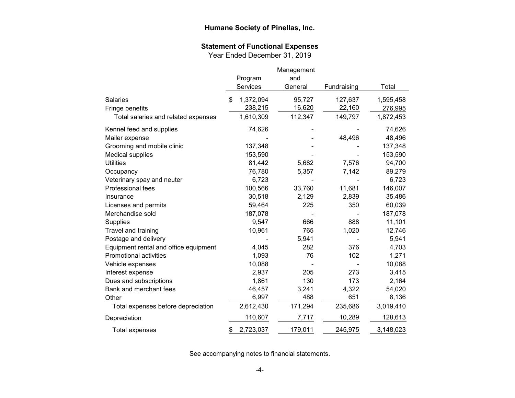# **Statement of Functional Expenses**

Year Ended December 31, 2019

|                                       |                 | Management |             |           |
|---------------------------------------|-----------------|------------|-------------|-----------|
|                                       | Program         | and        |             |           |
|                                       | <b>Services</b> | General    | Fundraising | Total     |
| Salaries                              | \$<br>1,372,094 | 95,727     | 127,637     | 1,595,458 |
| Fringe benefits                       | 238,215         | 16,620     | 22,160      | 276,995   |
| Total salaries and related expenses   | 1,610,309       | 112,347    | 149,797     | 1,872,453 |
| Kennel feed and supplies              | 74,626          |            |             | 74,626    |
| Mailer expense                        |                 |            | 48,496      | 48,496    |
| Grooming and mobile clinic            | 137,348         |            |             | 137,348   |
| <b>Medical supplies</b>               | 153,590         |            |             | 153,590   |
| <b>Utilities</b>                      | 81,442          | 5,682      | 7,576       | 94,700    |
| Occupancy                             | 76,780          | 5,357      | 7,142       | 89,279    |
| Veterinary spay and neuter            | 6,723           |            |             | 6,723     |
| Professional fees                     | 100,566         | 33,760     | 11,681      | 146,007   |
| Insurance                             | 30,518          | 2,129      | 2,839       | 35,486    |
| Licenses and permits                  | 59,464          | 225        | 350         | 60,039    |
| Merchandise sold                      | 187,078         |            |             | 187,078   |
| Supplies                              | 9,547           | 666        | 888         | 11,101    |
| Travel and training                   | 10,961          | 765        | 1,020       | 12,746    |
| Postage and delivery                  |                 | 5,941      |             | 5,941     |
| Equipment rental and office equipment | 4,045           | 282        | 376         | 4,703     |
| <b>Promotional activities</b>         | 1,093           | 76         | 102         | 1,271     |
| Vehicle expenses                      | 10,088          |            |             | 10,088    |
| Interest expense                      | 2,937           | 205        | 273         | 3,415     |
| Dues and subscriptions                | 1,861           | 130        | 173         | 2,164     |
| Bank and merchant fees                | 46,457          | 3,241      | 4,322       | 54,020    |
| Other                                 | 6,997           | 488        | 651         | 8,136     |
| Total expenses before depreciation    | 2,612,430       | 171,294    | 235,686     | 3,019,410 |
| Depreciation                          | 110,607         | 7,717      | 10,289      | 128,613   |
| Total expenses                        | \$<br>2,723,037 | 179,011    | 245,975     | 3,148,023 |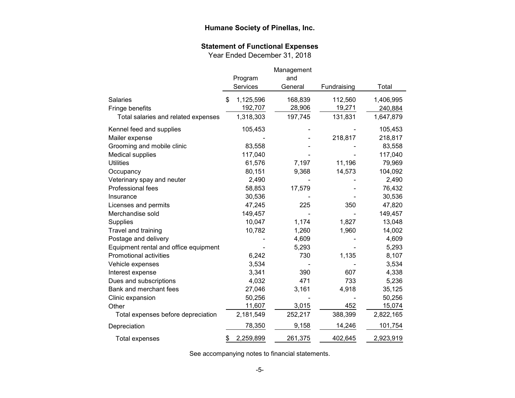# **Statement of Functional Expenses**

Year Ended December 31, 2018

|                                       |                 | Management |             |           |
|---------------------------------------|-----------------|------------|-------------|-----------|
|                                       | Program         | and        |             |           |
|                                       | Services        | General    | Fundraising | Total     |
| <b>Salaries</b>                       | \$<br>1,125,596 | 168,839    | 112,560     | 1,406,995 |
| Fringe benefits                       | 192,707         | 28,906     | 19,271      | 240,884   |
| Total salaries and related expenses   | 1,318,303       | 197,745    | 131,831     | 1,647,879 |
| Kennel feed and supplies              | 105,453         |            |             | 105,453   |
| Mailer expense                        |                 |            | 218,817     | 218,817   |
| Grooming and mobile clinic            | 83,558          |            |             | 83,558    |
| <b>Medical supplies</b>               | 117,040         |            |             | 117,040   |
| <b>Utilities</b>                      | 61,576          | 7,197      | 11,196      | 79,969    |
| Occupancy                             | 80,151          | 9,368      | 14,573      | 104,092   |
| Veterinary spay and neuter            | 2,490           |            |             | 2,490     |
| Professional fees                     | 58,853          | 17,579     |             | 76,432    |
| Insurance                             | 30,536          |            |             | 30,536    |
| Licenses and permits                  | 47,245          | 225        | 350         | 47,820    |
| Merchandise sold                      | 149,457         |            |             | 149,457   |
| <b>Supplies</b>                       | 10,047          | 1,174      | 1,827       | 13,048    |
| Travel and training                   | 10,782          | 1,260      | 1,960       | 14,002    |
| Postage and delivery                  |                 | 4,609      |             | 4,609     |
| Equipment rental and office equipment |                 | 5,293      |             | 5,293     |
| <b>Promotional activities</b>         | 6,242           | 730        | 1,135       | 8,107     |
| Vehicle expenses                      | 3,534           |            |             | 3,534     |
| Interest expense                      | 3,341           | 390        | 607         | 4,338     |
| Dues and subscriptions                | 4,032           | 471        | 733         | 5,236     |
| Bank and merchant fees                | 27,046          | 3,161      | 4,918       | 35,125    |
| Clinic expansion                      | 50,256          |            |             | 50,256    |
| Other                                 | 11,607          | 3,015      | 452         | 15,074    |
| Total expenses before depreciation    | 2,181,549       | 252,217    | 388,399     | 2,822,165 |
| Depreciation                          | 78,350          | 9,158      | 14,246      | 101,754   |
| <b>Total expenses</b>                 | \$<br>2,259,899 | 261,375    | 402,645     | 2,923,919 |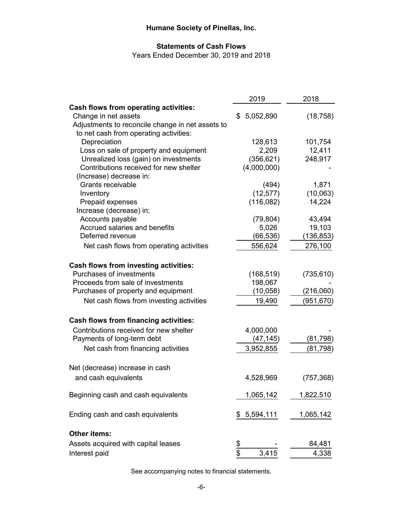# **Statements of Cash Flows**

Years Ended December 30, 2019 and 2018

|                                                  | 2019            | 2018       |
|--------------------------------------------------|-----------------|------------|
| <b>Cash flows from operating activities:</b>     |                 |            |
| Change in net assets                             | 5,052,890<br>\$ | (18, 758)  |
| Adjustments to reconcile change in net assets to |                 |            |
| to net cash from operating activities:           |                 |            |
| Depreciation                                     | 128,613         | 101,754    |
| Loss on sale of property and equipment           | 2,209           | 12,411     |
| Unrealized loss (gain) on investments            | (356, 621)      | 248,917    |
| Contributions received for new shelter           | (4,000,000)     |            |
| (Increase) decrease in:                          |                 |            |
| <b>Grants receivable</b>                         | (494)           | 1,871      |
| Inventory                                        | (12, 577)       | (10,063)   |
| Prepaid expenses                                 | (116,082)       | 14,224     |
| Increase (decrease) in:                          |                 |            |
| Accounts payable                                 | (79, 804)       | 43,494     |
| Accrued salaries and benefits                    | 5,026           | 19,103     |
| Deferred revenue                                 | (66, 536)       | (136,853)  |
| Net cash flows from operating activities         | 556,624         | 276,100    |
| Cash flows from investing activities:            |                 |            |
| Purchases of investments                         | (168, 519)      | (735, 610) |
| Proceeds from sale of investments                | 198,067         |            |
| Purchases of property and equipment              | (10, 058)       | (216,060)  |
| Net cash flows from investing activities         | 19,490          | (951,670)  |
| <b>Cash flows from financing activities:</b>     |                 |            |
| Contributions received for new shelter           |                 |            |
|                                                  | 4,000,000       |            |
| Payments of long-term debt                       | (47, 145)       | (81, 798)  |
| Net cash from financing activities               | 3,952,855       | (81,798)   |
| Net (decrease) increase in cash                  |                 |            |
| and cash equivalents                             | 4,528,969       | (757, 368) |
| Beginning cash and cash equivalents              | 1,065,142       | 1,822,510  |
| Ending cash and cash equivalents                 | 5,594,111       | 1,065,142  |
| <b>Other items:</b>                              |                 |            |
| Assets acquired with capital leases              | $\frac{3}{2}$   | 84,481     |
| Interest paid                                    | \$<br>3,415     | 4,338      |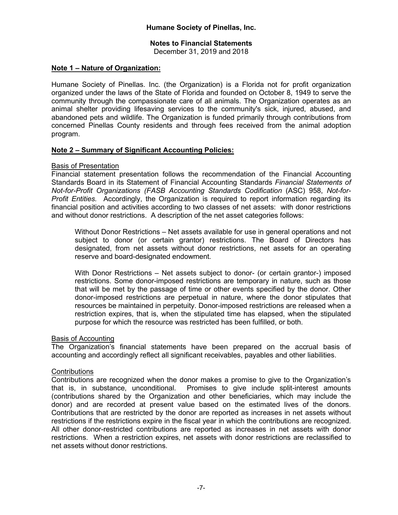# **Notes to Financial Statements**

December 31, 2019 and 2018

## **Note 1 – Nature of Organization:**

Humane Society of Pinellas. Inc. (the Organization) is a Florida not for profit organization organized under the laws of the State of Florida and founded on October 8, 1949 to serve the community through the compassionate care of all animals. The Organization operates as an animal shelter providing lifesaving services to the community's sick, injured, abused, and abandoned pets and wildlife. The Organization is funded primarily through contributions from concerned Pinellas County residents and through fees received from the animal adoption program.

## **Note 2 – Summary of Significant Accounting Policies:**

#### Basis of Presentation

Financial statement presentation follows the recommendation of the Financial Accounting Standards Board in its Statement of Financial Accounting Standards *Financial Statements of Not-for-Profit Organizations (FASB Accounting Standards Codification* (ASC) 958, *Not-for-Profit Entities.* Accordingly, the Organization is required to report information regarding its financial position and activities according to two classes of net assets: with donor restrictions and without donor restrictions. A description of the net asset categories follows:

Without Donor Restrictions – Net assets available for use in general operations and not subject to donor (or certain grantor) restrictions. The Board of Directors has designated, from net assets without donor restrictions, net assets for an operating reserve and board-designated endowment.

With Donor Restrictions – Net assets subject to donor- (or certain grantor-) imposed restrictions. Some donor-imposed restrictions are temporary in nature, such as those that will be met by the passage of time or other events specified by the donor. Other donor-imposed restrictions are perpetual in nature, where the donor stipulates that resources be maintained in perpetuity. Donor-imposed restrictions are released when a restriction expires, that is, when the stipulated time has elapsed, when the stipulated purpose for which the resource was restricted has been fulfilled, or both.

#### Basis of Accounting

The Organization's financial statements have been prepared on the accrual basis of accounting and accordingly reflect all significant receivables, payables and other liabilities.

#### **Contributions**

Contributions are recognized when the donor makes a promise to give to the Organization's that is, in substance, unconditional. Promises to give include split-interest amounts (contributions shared by the Organization and other beneficiaries, which may include the donor) and are recorded at present value based on the estimated lives of the donors. Contributions that are restricted by the donor are reported as increases in net assets without restrictions if the restrictions expire in the fiscal year in which the contributions are recognized. All other donor-restricted contributions are reported as increases in net assets with donor restrictions. When a restriction expires, net assets with donor restrictions are reclassified to net assets without donor restrictions.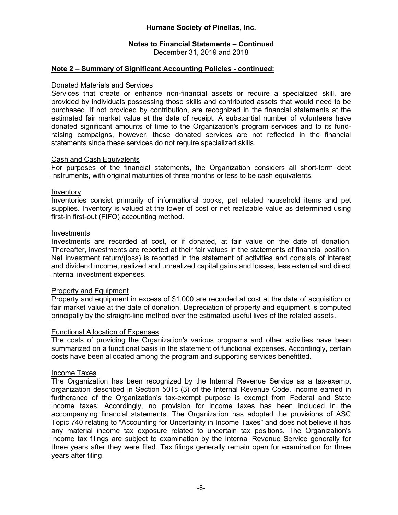# **Notes to Financial Statements – Continued**

December 31, 2019 and 2018

## **Note 2 – Summary of Significant Accounting Policies - continued:**

#### Donated Materials and Services

Services that create or enhance non-financial assets or require a specialized skill, are provided by individuals possessing those skills and contributed assets that would need to be purchased, if not provided by contribution, are recognized in the financial statements at the estimated fair market value at the date of receipt. A substantial number of volunteers have donated significant amounts of time to the Organization's program services and to its fundraising campaigns, however, these donated services are not reflected in the financial statements since these services do not require specialized skills.

## Cash and Cash Equivalents

For purposes of the financial statements, the Organization considers all short-term debt instruments, with original maturities of three months or less to be cash equivalents.

#### Inventory

Inventories consist primarily of informational books, pet related household items and pet supplies. Inventory is valued at the lower of cost or net realizable value as determined using first-in first-out (FIFO) accounting method.

#### Investments

Investments are recorded at cost, or if donated, at fair value on the date of donation. Thereafter, investments are reported at their fair values in the statements of financial position. Net investment return/(loss) is reported in the statement of activities and consists of interest and dividend income, realized and unrealized capital gains and losses, less external and direct internal investment expenses.

#### Property and Equipment

Property and equipment in excess of \$1,000 are recorded at cost at the date of acquisition or fair market value at the date of donation. Depreciation of property and equipment is computed principally by the straight-line method over the estimated useful lives of the related assets.

#### Functional Allocation of Expenses

The costs of providing the Organization's various programs and other activities have been summarized on a functional basis in the statement of functional expenses. Accordingly, certain costs have been allocated among the program and supporting services benefitted.

#### Income Taxes

The Organization has been recognized by the Internal Revenue Service as a tax-exempt organization described in Section 501c (3) of the Internal Revenue Code. Income earned in furtherance of the Organization's tax-exempt purpose is exempt from Federal and State income taxes. Accordingly, no provision for income taxes has been included in the accompanying financial statements. The Organization has adopted the provisions of ASC Topic 740 relating to "Accounting for Uncertainty in Income Taxes" and does not believe it has any material income tax exposure related to uncertain tax positions. The Organization's income tax filings are subject to examination by the Internal Revenue Service generally for three years after they were filed. Tax filings generally remain open for examination for three years after filing.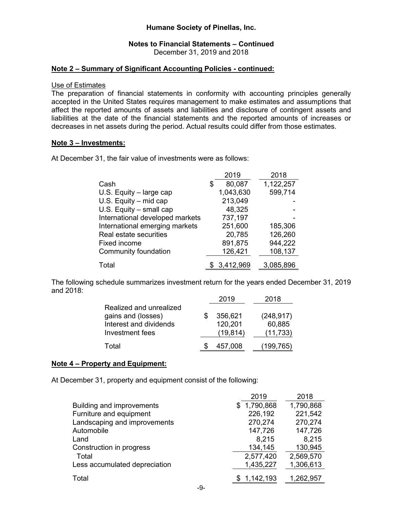# **Notes to Financial Statements – Continued**

December 31, 2019 and 2018

## **Note 2 – Summary of Significant Accounting Policies - continued:**

#### Use of Estimates

The preparation of financial statements in conformity with accounting principles generally accepted in the United States requires management to make estimates and assumptions that affect the reported amounts of assets and liabilities and disclosure of contingent assets and liabilities at the date of the financial statements and the reported amounts of increases or decreases in net assets during the period. Actual results could differ from those estimates.

#### **Note 3 – Investments:**

At December 31, the fair value of investments were as follows:

|                                 | 2019         | 2018      |
|---------------------------------|--------------|-----------|
| Cash                            | \$<br>80,087 | 1,122,257 |
| U.S. Equity $-$ large cap       | 1,043,630    | 599,714   |
| U.S. Equity $-$ mid cap         | 213,049      |           |
| U.S. Equity $-$ small cap       | 48,325       |           |
| International developed markets | 737,197      |           |
| International emerging markets  | 251,600      | 185,306   |
| Real estate securities          | 20,785       | 126,260   |
| Fixed income                    | 891,875      | 944,222   |
| Community foundation            | 126,421      | 108,137   |
| Total                           | \$3,412,969  | 3,085,896 |

The following schedule summarizes investment return for the years ended December 31, 2019 and 2018:

|                                                                                            | 2019                           | 2018                             |
|--------------------------------------------------------------------------------------------|--------------------------------|----------------------------------|
| Realized and unrealized<br>gains and (losses)<br>Interest and dividends<br>Investment fees | 356,621<br>120,201<br>(19,814) | (248, 917)<br>60,885<br>(11,733) |
| Total                                                                                      | 457,008                        | (199, 765)                       |

#### **Note 4 – Property and Equipment:**

At December 31, property and equipment consist of the following:

|                               | 2019            | 2018      |
|-------------------------------|-----------------|-----------|
| Building and improvements     | 1,790,868<br>S. | 1,790,868 |
| Furniture and equipment       | 226,192         | 221,542   |
| Landscaping and improvements  | 270,274         | 270,274   |
| Automobile                    | 147,726         | 147,726   |
| Land                          | 8,215           | 8,215     |
| Construction in progress      | 134,145         | 130,945   |
| Total                         | 2,577,420       | 2,569,570 |
| Less accumulated depreciation | 1,435,227       | 1,306,613 |
| Total                         | 1,142,193       | 1,262,957 |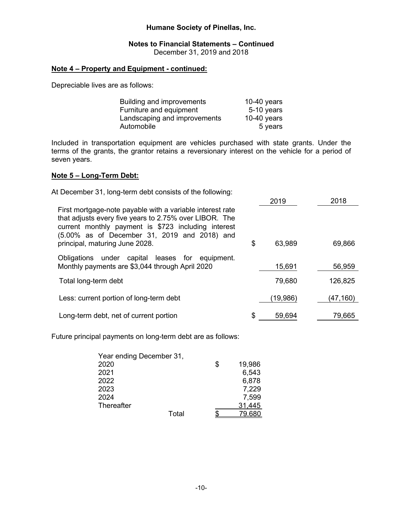# **Notes to Financial Statements – Continued**

December 31, 2019 and 2018

## **Note 4 – Property and Equipment - continued:**

Depreciable lives are as follows:

| Building and improvements    | 10-40 years |
|------------------------------|-------------|
| Furniture and equipment      | 5-10 years  |
| Landscaping and improvements | 10-40 years |
| Automobile                   | 5 years     |

Included in transportation equipment are vehicles purchased with state grants. Under the terms of the grants, the grantor retains a reversionary interest on the vehicle for a period of seven years.

## **Note 5 – Long-Term Debt:**

| At December 31, long-term debt consists of the following:                                                                                                                                                                                                    |    |          |          |
|--------------------------------------------------------------------------------------------------------------------------------------------------------------------------------------------------------------------------------------------------------------|----|----------|----------|
|                                                                                                                                                                                                                                                              |    | 2019     | 2018     |
| First mortgage-note payable with a variable interest rate<br>that adjusts every five years to 2.75% over LIBOR. The<br>current monthly payment is \$723 including interest<br>(5.00% as of December 31, 2019 and 2018) and<br>principal, maturing June 2028. | \$ | 63,989   | 69,866   |
| Obligations under capital leases for equipment.<br>Monthly payments are \$3,044 through April 2020                                                                                                                                                           |    | 15,691   | 56,959   |
| Total long-term debt                                                                                                                                                                                                                                         |    | 79,680   | 126,825  |
| Less: current portion of long-term debt                                                                                                                                                                                                                      |    | (19,986) | (47,160) |
| Long-term debt, net of current portion                                                                                                                                                                                                                       | S  | 59,694   | 79,665   |

Future principal payments on long-term debt are as follows:

| Year ending December 31, |       |               |  |
|--------------------------|-------|---------------|--|
| 2020                     |       | \$<br>19,986  |  |
| 2021                     |       | 6,543         |  |
| 2022                     |       | 6,878         |  |
| 2023                     |       | 7,229         |  |
| 2024                     |       | 7,599         |  |
| Thereafter               |       | 31,445        |  |
|                          | Total | <u>79.680</u> |  |
|                          |       |               |  |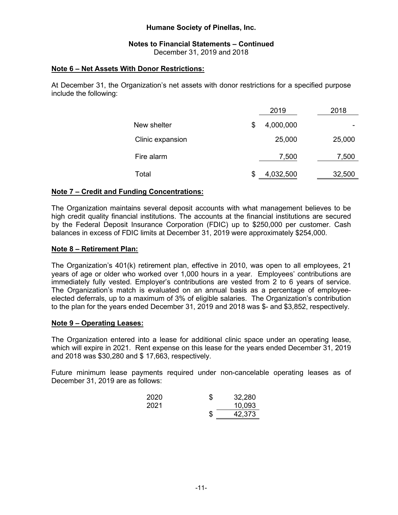# **Notes to Financial Statements – Continued**

December 31, 2019 and 2018

## **Note 6 – Net Assets With Donor Restrictions:**

At December 31, the Organization's net assets with donor restrictions for a specified purpose include the following:

|                  | 2019            | 2018   |
|------------------|-----------------|--------|
| New shelter      | \$<br>4,000,000 |        |
| Clinic expansion | 25,000          | 25,000 |
| Fire alarm       | 7,500           | 7,500  |
| Total            | \$<br>4,032,500 | 32,500 |

## **Note 7 – Credit and Funding Concentrations:**

The Organization maintains several deposit accounts with what management believes to be high credit quality financial institutions. The accounts at the financial institutions are secured by the Federal Deposit Insurance Corporation (FDIC) up to \$250,000 per customer. Cash balances in excess of FDIC limits at December 31, 2019 were approximately \$254,000.

## **Note 8 – Retirement Plan:**

The Organization's 401(k) retirement plan, effective in 2010, was open to all employees, 21 years of age or older who worked over 1,000 hours in a year. Employees' contributions are immediately fully vested. Employer's contributions are vested from 2 to 6 years of service. The Organization's match is evaluated on an annual basis as a percentage of employeeelected deferrals, up to a maximum of 3% of eligible salaries. The Organization's contribution to the plan for the years ended December 31, 2019 and 2018 was \$- and \$3,852, respectively.

#### **Note 9 – Operating Leases:**

The Organization entered into a lease for additional clinic space under an operating lease, which will expire in 2021. Rent expense on this lease for the years ended December 31, 2019 and 2018 was \$30,280 and \$ 17,663, respectively.

Future minimum lease payments required under non-cancelable operating leases as of December 31, 2019 are as follows:

| 2020 | S | 32,280 |
|------|---|--------|
| 2021 |   | 10,093 |
|      | S | 42,373 |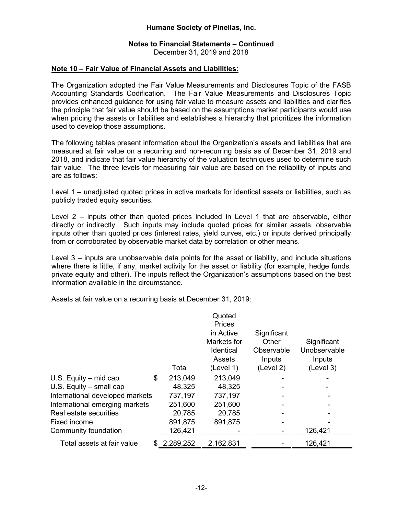## **Notes to Financial Statements – Continued**

December 31, 2019 and 2018

#### **Note 10 – Fair Value of Financial Assets and Liabilities:**

The Organization adopted the Fair Value Measurements and Disclosures Topic of the FASB Accounting Standards Codification. The Fair Value Measurements and Disclosures Topic provides enhanced guidance for using fair value to measure assets and liabilities and clarifies the principle that fair value should be based on the assumptions market participants would use when pricing the assets or liabilities and establishes a hierarchy that prioritizes the information used to develop those assumptions.

The following tables present information about the Organization's assets and liabilities that are measured at fair value on a recurring and non-recurring basis as of December 31, 2019 and 2018, and indicate that fair value hierarchy of the valuation techniques used to determine such fair value. The three levels for measuring fair value are based on the reliability of inputs and are as follows:

Level 1 – unadjusted quoted prices in active markets for identical assets or liabilities, such as publicly traded equity securities.

Level 2 – inputs other than quoted prices included in Level 1 that are observable, either directly or indirectly. Such inputs may include quoted prices for similar assets, observable inputs other than quoted prices (interest rates, yield curves, etc.) or inputs derived principally from or corroborated by observable market data by correlation or other means.

Level 3 – inputs are unobservable data points for the asset or liability, and include situations where there is little, if any, market activity for the asset or liability (for example, hedge funds, private equity and other). The inputs reflect the Organization's assumptions based on the best information available in the circumstance.

Assets at fair value on a recurring basis at December 31, 2019:

|                                 |             | Quoted<br><b>Prices</b> |             |              |
|---------------------------------|-------------|-------------------------|-------------|--------------|
|                                 |             | in Active               | Significant |              |
|                                 |             | Markets for             | Other       | Significant  |
|                                 |             | <b>Identical</b>        | Observable  | Unobservable |
|                                 |             | Assets                  | Inputs      | Inputs       |
|                                 | Total       | (Level 1)               | (Level 2)   | (Level 3)    |
| U.S. Equity $-$ mid cap<br>\$   | 213,049     | 213,049                 |             |              |
| $U.S.$ Equity – small cap       | 48,325      | 48,325                  |             |              |
| International developed markets | 737,197     | 737,197                 |             |              |
| International emerging markets  | 251,600     | 251,600                 |             |              |
| Real estate securities          | 20,785      | 20,785                  |             |              |
| Fixed income                    | 891,875     | 891,875                 |             |              |
| Community foundation            | 126,421     |                         |             | 126,421      |
| Total assets at fair value      | \$2,289,252 | 2,162,831               |             | 126,421      |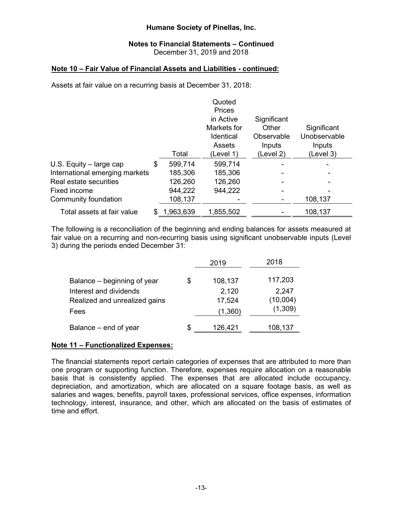# **Notes to Financial Statements – Continued**

December 31, 2019 and 2018

# **Note 10 – Fair Value of Financial Assets and Liabilities - continued:**

Assets at fair value on a recurring basis at December 31, 2018:

|                                                                                                                               | Total                                                     | Quoted<br><b>Prices</b><br>in Active<br>Markets for<br><b>Identical</b><br><b>Assets</b><br>(Level 1) | Significant<br>Other<br>Observable<br>Inputs<br>(Level 2) | Significant<br>Unobservable<br>Inputs<br>(Level 3) |
|-------------------------------------------------------------------------------------------------------------------------------|-----------------------------------------------------------|-------------------------------------------------------------------------------------------------------|-----------------------------------------------------------|----------------------------------------------------|
| $U.S.$ Equity – large cap<br>International emerging markets<br>Real estate securities<br>Fixed income<br>Community foundation | \$<br>599,714<br>185,306<br>126,260<br>944,222<br>108,137 | 599,714<br>185,306<br>126,260<br>944,222                                                              |                                                           | 108,137                                            |
| Total assets at fair value                                                                                                    | 1,963,639                                                 | 1,855,502                                                                                             |                                                           | 108,137                                            |

The following is a reconciliation of the beginning and ending balances for assets measured at fair value on a recurring and non-recurring basis using significant unobservable inputs (Level 3) during the periods ended December 31:

|                                                                 |   | 2019                       | 2018                         |
|-----------------------------------------------------------------|---|----------------------------|------------------------------|
| Balance - beginning of year                                     | S | 108,137                    | 117,203                      |
| Interest and dividends<br>Realized and unrealized gains<br>Fees |   | 2,120<br>17,524<br>(1,360) | 2,247<br>(10,004)<br>(1,309) |
| Balance – end of year                                           |   | 126,421                    | 108,137                      |

#### **Note 11 – Functionalized Expenses:**

The financial statements report certain categories of expenses that are attributed to more than one program or supporting function. Therefore, expenses require allocation on a reasonable basis that is consistently applied. The expenses that are allocated include occupancy, depreciation, and amortization, which are allocated on a square footage basis, as well as salaries and wages, benefits, payroll taxes, professional services, office expenses, information technology, interest, insurance, and other, which are allocated on the basis of estimates of time and effort.